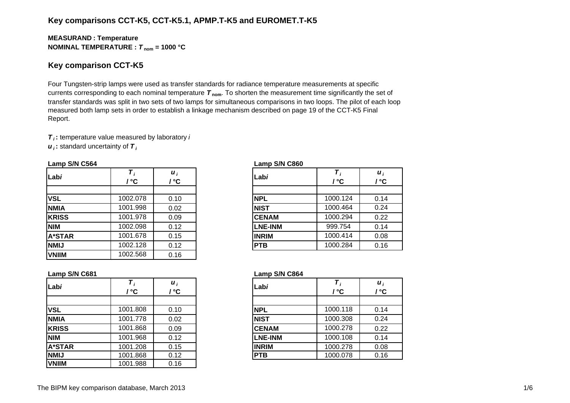## **Key comparisons CCT-K5, CCT-K5.1, APMP.T-K5 and EUROMET.T-K5**

### **MEASURAN D : Temperature NOMINAL TEMPERATURE :**  *T* **nom = 1000 °C**

## **Key comparison CCT-K5**

Four Tungsten-strip lamps were used as transfer standards for radiance temperature measurements at specific currents corresponding to each nominal temperature *T* **nom**. To shorten the measurement time significantly the set of transfer standards was split in two sets of two lamps for simultaneous comparisons in two loops. The pilot of each loop measured both lamp sets in order to establish a linkage mechanism described on page 19 of the CCT-K5 Final Report.

*T i* **:** temperature value measured by laboratory *i*

*u i* **:** standard uncertainty of *T i*

| Labi          | ′ ℃      | $\boldsymbol{u}_i$<br>' °C | Labi           | / °C     | $\boldsymbol{u}_i$<br>/ °C |
|---------------|----------|----------------------------|----------------|----------|----------------------------|
|               |          |                            |                |          |                            |
| <b>VSL</b>    | 1002.078 | 0.10                       | <b>NPL</b>     | 1000.124 | 0.14                       |
| <b>NMIA</b>   | 1001.998 | 0.02                       | <b>NIST</b>    | 1000.464 | 0.24                       |
| <b>KRISS</b>  | 1001.978 | 0.09                       | <b>CENAM</b>   | 1000.294 | 0.22                       |
| <b>NIM</b>    | 1002.098 | 0.12                       | <b>LNE-INM</b> | 999.754  | 0.14                       |
| <b>A*STAR</b> | 1001.678 | 0.15                       | <b>INRIM</b>   | 1000.414 | 0.08                       |
| <b>NMIJ</b>   | 1002.128 | 0.12                       | <b>PTB</b>     | 1000.284 | 0.16                       |
| <b>VNIIM</b>  | 1002.568 | 0.16                       |                |          |                            |

#### **Lamp S/N C564 Lamp S/N C860**

| i<br>C.         | Labi           | Τ,<br>/ °C | $\boldsymbol{u}_i$<br>/ °C |
|-----------------|----------------|------------|----------------------------|
|                 |                |            |                            |
| 10              | <b>NPL</b>     | 1000.124   | 0.14                       |
| $\overline{2}$  | <b>NIST</b>    | 1000.464   | 0.24                       |
| )9              | <b>CENAM</b>   | 1000.294   | 0.22                       |
| $\overline{12}$ | <b>LNE-INM</b> | 999.754    | 0.14                       |
| $\overline{15}$ | <b>INRIM</b>   | 1000.414   | 0.08                       |
| $\overline{12}$ | <b>PTB</b>     | 1000.284   | 0.16                       |

| Labi          |          | $\boldsymbol{u}_i$<br>′ °C | Labi           |          | $\boldsymbol{u}_i$ |  |
|---------------|----------|----------------------------|----------------|----------|--------------------|--|
|               | / °C     |                            |                | / °C     | / °C               |  |
| <b>VSL</b>    | 1001.808 | 0.10                       | <b>NPL</b>     | 1000.118 | 0.14               |  |
| <b>NMIA</b>   | 1001.778 | 0.02                       | <b>NIST</b>    | 1000.308 | 0.24               |  |
| <b>KRISS</b>  | 1001.868 | 0.09                       | <b>CENAM</b>   | 1000.278 | 0.22               |  |
| <b>NIM</b>    | 1001.968 | 0.12                       | <b>LNE-INM</b> | 1000.108 | 0.14               |  |
| <b>A*STAR</b> | 1001.208 | 0.15                       | <b>INRIM</b>   | 1000.278 | 0.08               |  |
| <b>NMIJ</b>   | 1001.868 | 0.12                       | <b>PTB</b>     | 1000.078 | 0.16               |  |
| <b>VNIIM</b>  | 1001.988 | 0.16                       |                |          |                    |  |

### **Lamp S/N C681 Lamp S/N C864**

| 1001.808<br>1000.118<br><b>NPL</b><br>0.10<br>1001.778<br>1000.308<br><b>NIST</b><br>0.02<br>А<br>SS<br>1001.868<br>1000.278<br>0.09<br><b>CENAM</b> |  |
|------------------------------------------------------------------------------------------------------------------------------------------------------|--|
|                                                                                                                                                      |  |
|                                                                                                                                                      |  |
|                                                                                                                                                      |  |
|                                                                                                                                                      |  |
| 1001.968<br>0.12<br>1000.108<br><b>LNE-INM</b>                                                                                                       |  |
| TAR<br>1001.208<br>0.15<br>1000.278<br><b>INRIM</b>                                                                                                  |  |
| 1001.868<br>0.12<br>1000.078<br><b>PTB</b>                                                                                                           |  |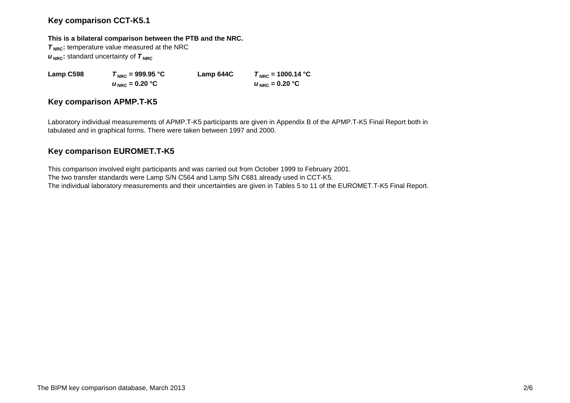## **Key comparison CCT-K5.1**

#### **This is a bilateral comparison between the PTB and the NRC.**

**T<sub>NRC</sub>**: temperature value measured at the NRC  $u_{\text{NRC}}$ : standard uncertainty of  $\tau_{\text{NRC}}$ 

**Lamp C598**  $T_{\text{NRC}} = 999.95 \text{ °C}$  **Lamp 644C**  $T_{\text{NRC}} = 1000.14 \text{ °C}$  $u_{\text{NRC}} = 0.20 \text{ °C}$  $U_{\text{NRC}} = 0.20$  °C

## **Key comparison APMP.T-K5**

Laboratory individual measurements of APMP.T-K5 participants are given in Appendix B of the APMP.T-K5 Final Report both in tabulated and in graphical forms. There were taken between 1997 and 2000.

# **Key comparison EUROMET.T-K5**

This comparison involved eight participants and was carried out from October 1999 to February 2001. The two transfer standards were Lamp S/N C564 and Lamp S/N C681 already used in CCT-K5. The individual laboratory measurements and their uncertainties are given in Tables 5 to 11 of the EUROMET.T-K5 Final Report.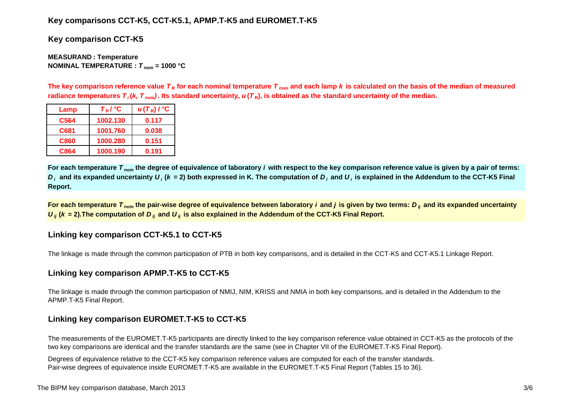# **Key comparisons CCT-K5, CCT-K5.1, APMP.T-K5 and EUROMET.T-K5**

**Key comparison CCT-K5**

**MEASURAN D : Temperature NOMINAL TEMPERATURE :**  *T* **nom = 1000 °C**

The key comparison reference value  $\bm{\tau}_{\mathsf{R}}$  for each nominal temperature  $\bm{\tau}_{\mathsf{nom}}$  and each lamp  $\bm{k}$  is calculated on the basis of the median of measured radiance temperatures  $\bm{\tau}_i$ (*k, T*  $_{\rm nom}$ ). Its standard uncertainty,  $\bm{u}(\bm{\tau}_{{\sf R}})$ , is obtained as the standard uncertainty of the median.

| Lamp             | $T_R$ / $^{\circ}$ C | $u(T_R)$ / $^{\circ}$ C |
|------------------|----------------------|-------------------------|
| C <sub>564</sub> | 1002.130             | 0.117                   |
| C681             | 1001.760             | 0.038                   |
| C860             | 1000.280             | 0.151                   |
| C864             | 1000.190             | 0.191                   |

**For each temperature**  *T* **nom the degree of equivalence of laboratory** *i* **with respect to the key comparison reference value is given by a pair of terms:**   $D_i$  and its expanded uncertainty  $U_i$  (k = 2) both expressed in K. The computation of  $D_i$  and  $U_i$  is explained in the Addendum to the CCT-K5 Final **Report.**

**For each temperature**  *T* **nom the pair-wise degree of equivalence between laboratory** *i* **and** *j* **is given by two terms:***<sup>D</sup> ij* **and its expanded uncertainty**   $U_{ij}$  ( $k$  = 2).The computation of  $D_{ij}$  and  $U_{ij}$  is also explained in the Addendum of the CCT-K5 Final Report.

# **Linking key comparison CCT-K5.1 to CCT-K5**

The linkage is made through the common participation of PTB in both key comparisons, and is detailed in the CCT-K5 and CCT-K5.1 Linkage Report.

# **Linking key comparison APMP.T-K5 to CCT-K5**

The linkage is made through the common participation of NMIJ, NIM, KRISS and NMIA in both key comparisons, and is detailed in the Addendum to the APMP.T-K5 Final Report.

# **Linking key comparison EUROMET.T-K5 to CCT-K5**

The measurements of the EUROMET.T-K5 participants are directly linked to the key comparison reference value obtained in CCT-K5 as the protocols of the two key comparisons are identical and the transfer standards are the same (see in Chapter VII of the EUROMET.T-K5 Final Report).

Degrees of equivalence relative to the CCT-K5 key comparison reference values are computed for each of the transfer standards. Pair-wise degrees of equivalence inside EUROMET.T-K5 are available in the EUROMET.T-K5 Final Report (Tables 15 to 36).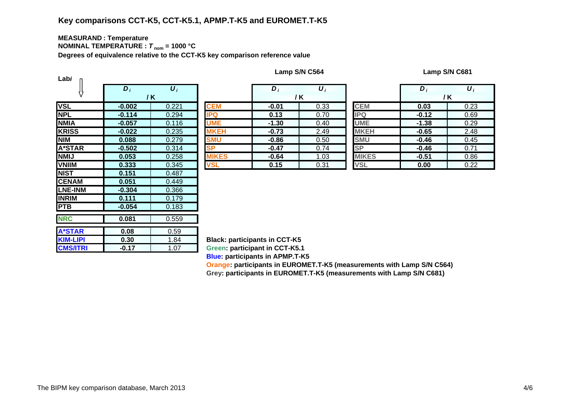#### **MEASURAN D : Temperature NOMINAL TEMPERATURE :**  *T* **nom = 1000 °C**

**Degrees of equivalence relative to the CCT-K5 key comparison reference value**

| Labi            |                  |                    |               |  |  |  |  |  |
|-----------------|------------------|--------------------|---------------|--|--|--|--|--|
|                 | $\overline{D}_i$ | $\boldsymbol{U}_i$ |               |  |  |  |  |  |
|                 |                  | / K                |               |  |  |  |  |  |
| <b>VSL</b>      | $-0.002$         | 0.221              | <b>CEM</b>    |  |  |  |  |  |
| <b>NPL</b>      | $-0.114$         | 0.294              | <b>IPQ</b>    |  |  |  |  |  |
| <b>NMIA</b>     | $-0.057$         | 0.116              | <b>UME</b>    |  |  |  |  |  |
| <b>KRISS</b>    | $-0.022$         | 0.235              | <b>MKEH</b>   |  |  |  |  |  |
| <b>NIM</b>      | 0.088            | 0.279              | <b>SMU</b>    |  |  |  |  |  |
| <b>A*STAR</b>   | $-0.502$         | 0.314              | <b>SP</b>     |  |  |  |  |  |
| <b>NMIJ</b>     | 0.053            | 0.258              | <b>IIKES</b>  |  |  |  |  |  |
| <b>VNIIM</b>    | 0.333            | 0.345              | <b>VSL</b>    |  |  |  |  |  |
| <b>NIST</b>     | 0.151            | 0.487              |               |  |  |  |  |  |
| <b>CENAM</b>    | 0.051            | 0.449              |               |  |  |  |  |  |
| <b>LNE-INM</b>  | $-0.304$         | 0.366              |               |  |  |  |  |  |
| <b>INRIM</b>    | 0.111            | 0.179              |               |  |  |  |  |  |
| <b>PTB</b>      | $-0.054$         | 0.183              |               |  |  |  |  |  |
| <b>NRC</b>      | 0.081            | 0.559              |               |  |  |  |  |  |
|                 |                  |                    |               |  |  |  |  |  |
| <b>A*STAR</b>   | 0.08             | 0.59               |               |  |  |  |  |  |
| <b>KIM-LIPI</b> | 0.30             | 1.84               | <b>Black:</b> |  |  |  |  |  |
| <b>CMS/ITRI</b> | $-0.17$          | 1.07               | Green:        |  |  |  |  |  |

|                               | $\bm{D}_i$ | $\boldsymbol{U}_i$ |              | $\bm{D}$ | $\boldsymbol{U}_i$ |              | D       | $\overline{\boldsymbol{U}_i}$ |
|-------------------------------|------------|--------------------|--------------|----------|--------------------|--------------|---------|-------------------------------|
|                               | / K        |                    |              |          | /K                 |              |         | / K                           |
|                               | $-0.002$   | 0.221              | <b>CEM</b>   | $-0.01$  | 0.33               | <b>CEM</b>   | 0.03    | 0.23                          |
|                               | $-0.114$   | 0.294              | <b>IPQ</b>   | 0.13     | 0.70               | <b>IPQ</b>   | $-0.12$ | 0.69                          |
| А                             | $-0.057$   | 0.116              | <b>UME</b>   | $-1.30$  | 0.40               | <b>UME</b>   | $-1.38$ | 0.29                          |
| $\overline{\text{s}}\text{s}$ | $-0.022$   | 0.235              | <b>MKEH</b>  | $-0.73$  | 2.49               | <b>MKEH</b>  | $-0.65$ | 2.48                          |
|                               | 0.088      | 0.279              | <b>SMU</b>   | $-0.86$  | 0.50               | <b>SMU</b>   | $-0.46$ | 0.45                          |
| TAR                           | $-0.502$   | 0.314              | SP           | $-0.47$  | 0.74               | <b>SP</b>    | $-0.46$ | 0.71                          |
|                               | 0.053      | 0.258              | <b>MIKES</b> | $-0.64$  | 1.03               | <b>MIKES</b> | $-0.51$ | 0.86                          |
| M                             | 0.333      | 0.345              | <b>VSL</b>   | 0.15     | 0.31               | <b>VSL</b>   | 0.00    | 0.22                          |

|    | D,      | $\boldsymbol{U}_i$ |                        | $D_i$   | $\boldsymbol{\mathsf{U}}_i$ |
|----|---------|--------------------|------------------------|---------|-----------------------------|
|    |         | / K                |                        |         | / K                         |
|    | $-0.01$ | 0.33               | <b>CEM</b>             | 0.03    | 0.23                        |
|    | 0.13    | 0.70               | <b>IPQ</b>             | $-0.12$ | 0.69                        |
|    | $-1.30$ | 0.40               | <b>UME</b>             | $-1.38$ | 0.29                        |
| Н  | $-0.73$ | 2.49               | <b>MKEH</b>            | $-0.65$ | 2.48                        |
|    | $-0.86$ | 0.50               | <b>SMU</b>             | $-0.46$ | 0.45                        |
|    | $-0.47$ | 0.74               | $\overline{\text{SP}}$ | $-0.46$ | 0.71                        |
| ΞS | $-0.64$ | 1.03               | <b>MIKES</b>           | $-0.51$ | 0.86                        |
|    | 0.15    | 0.31               | <b>VSL</b>             | 0.00    | 0.22                        |

**Black: participants in CCT-K5 Green: participant in CCT-K5.1 Blue: participants in APMP.T-K5 Oran g e: participants in EUROMET.T-K5 (measurements with Lamp S/N C564)**

**Gre y: participants in EUROMET.T-K5 (measurements with Lamp S/N C681)**

**Lamp S/N C564 Lamp S/N C681**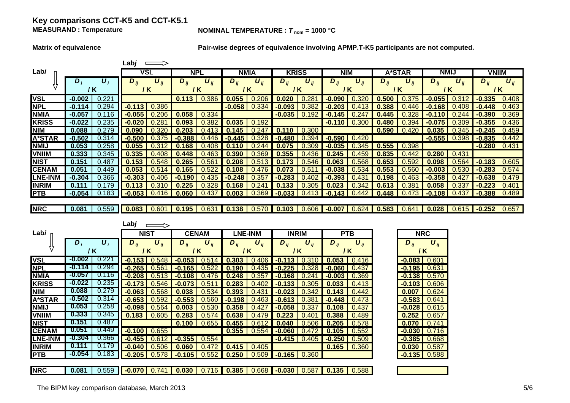### **Key comparisons CCT-K5 and CCT-K5.1 MEASURAND**

#### **NOMINAL TEMPERATURE :**  $T_{\text{nom}} = 1000 \text{ °C}$

**Matrix of equivalence Pair-wise degrees of equivalence involving APMP.T-K5 participants are not computed.**

|                |                   | Lab <i>i</i>                      |                |                                              |                             |                                     |                                        |                                 |                      |  |
|----------------|-------------------|-----------------------------------|----------------|----------------------------------------------|-----------------------------|-------------------------------------|----------------------------------------|---------------------------------|----------------------|--|
| Lab <i>i</i>   |                   | VSL                               | <b>NPL</b>     | <b>NMIA</b>                                  | <b>KRISS</b>                | <b>NIM</b>                          | A*STAR                                 | <b>NMIJ</b>                     | <b>VNIIM</b>         |  |
|                | υ,                | $\boldsymbol{U}_{ii}$<br>$D_{ii}$ | $D_{ii}$       | $\boldsymbol{U}$ ii<br>$\boldsymbol{D}_{ii}$ | $D_{ii}$<br>$\bm{U}_{ii}$   | $U_{ii}$<br>$\boldsymbol{\nu}_{ii}$ | $\boldsymbol{U}$ ii<br>D <sub>ii</sub> | $D_{ii}$<br>$\boldsymbol{U}$ ii | $U_{ii}$<br>$D_{ii}$ |  |
|                | / K               | / K                               | 7 K            | / K                                          | / K                         | 7 K                                 | / K                                    | / K                             | / K                  |  |
| <b>VSL</b>     | $-0.002$<br>0.221 |                                   | 0.113<br>0.386 | 0.055<br>0.206                               | $\mathbf{0}$                | 0.320<br>$-0.090$                   | 0.500<br>0.375                         | .055                            | $-0.335$<br>0.408    |  |
| <b>NPL</b>     | 0.294<br>$-0.114$ | 0.386<br>$-0.113$                 |                | $-0.058$<br>0.334                            | -0.093                      |                                     | .388                                   | -0.168<br>0.408                 | 0.463<br>$-0.448$    |  |
| <b>NMIA</b>    | 0.116<br>-0.057   | 0.206<br>$-0.055$                 | 0.058<br>0.334 |                                              | $-0.035$<br>0.192           | $-0.145$                            | .445                                   | 0.244                           | 0.369<br>$-0.390$    |  |
| <b>KRISS</b>   | 0.235<br>$-0.022$ | .28<br>$-0.020$                   | ) 382<br>0.093 | 0.035<br>0.192                               |                             | $-0.110$<br>0.300                   | .480                                   | 309                             | $-0.355$<br>0.436    |  |
| <b>NIM</b>     | 0.279<br>0.088    | 0.090                             |                |                                              | 0.300<br>$\mathbf{0}$<br>10 |                                     | 0.590                                  | 345                             | $-0.245$<br>0.459    |  |
| <b>A*STAR</b>  | 0.314<br>$-0.502$ | $-0.500$                          |                |                                              | 394                         | $-0.590$<br>0.420                   |                                        | 0.398<br>$-0.555$               | $-0.835$<br>0.442    |  |
| <b>NMIJ</b>    | 0.258<br>0.053    | 0.055                             |                |                                              | פר                          | 345                                 | 0.398<br>0.555                         |                                 | $-0.280$ 0.431       |  |
| <b>VNIIM</b>   | 0.345<br>0.333    | 0.335                             |                |                                              | 36                          |                                     |                                        | 0.280<br>0.431                  |                      |  |
| <b>NIST</b>    | 0.487<br>0.151    | 0.153                             |                | I.5                                          |                             |                                     |                                        | 0.564                           | 0.605<br>$-0.183$    |  |
| <b>CENAM</b>   | 0.449<br>0.051    | 0.053                             |                | 0.108<br>0.476                               | 0.5<br>0.07                 | $-0.038$<br>0.534                   | 0.560<br>0.553                         | 0.530                           | 0.574<br>$-0.283$    |  |
| <b>LNE-INM</b> | 0.366<br>$-0.304$ | $-0.303$                          | -0.            | 35<br>-0.248                                 | .283                        | $-0.393$                            | .198<br>O.                             | $-0.358$<br>$0.42^{0}$          | $-0.638$<br>0.479    |  |
| <b>INRIM</b>   | 0.179<br>0.111    | 0.113                             |                | .168<br>O.<br>.24                            | .305<br>O.                  | 0.023                               | 0.6<br>38                              | 0.337<br>0.058                  | 0.401<br>$-0.223$    |  |
| <b>PTB</b>     | 0.183<br>$-0.054$ | 0.41<br>$-0.053$                  | 0.437<br>0.060 | 0.369<br>0.003                               |                             | 0.442<br>$-0.7$<br>143.             | $\mathbf{0}$<br>.448                   | 0.437<br>$-0.108$               | 0.489<br>$-0.388$    |  |
|                |                   |                                   |                |                                              |                             |                                     |                                        |                                 |                      |  |

**NRC 0.081** 0.559 0.559 **0.083** 0.601 **0.195** 0.631 **0.138** 0.570 **0.103** 0.606 **-0.007** 0.624 **0.583** 0.641 **0.028** 0.615 **-0.252** 0.657

|                                            |          |                             | Labj                                       |                                          |          |                             |                         |                             |          |                                          |          |            |  |                              |       |
|--------------------------------------------|----------|-----------------------------|--------------------------------------------|------------------------------------------|----------|-----------------------------|-------------------------|-----------------------------|----------|------------------------------------------|----------|------------|--|------------------------------|-------|
| Labi<br>$D_i$<br>$\boldsymbol{U}_i$<br>/ K |          | <b>NIST</b>                 |                                            | <b>CENAM</b>                             |          |                             | <b>LNE-INM</b>          | <b>INRIM</b>                |          | <b>PTB</b>                               |          | <b>NRC</b> |  |                              |       |
|                                            |          | $U_{ii}$<br>$D_{ii}$<br>/ K |                                            | $\boldsymbol{U}_{ij}$<br>$D_{ii}$<br>/ K |          | $U_{ii}$<br>$D_{ij}$<br>/ K |                         | $U_{ii}$<br>$D_{ij}$<br>/ K |          | $\boldsymbol{U}_{ij}$<br>$D_{ij}$<br>/ K |          | $D_{ii}$   |  | $\boldsymbol{U}_{ij}$<br>/ K |       |
| <b>VSL</b>                                 | $-0.002$ | 0.221                       | $-0.153$                                   | 0.548                                    | $-0.053$ | 0.514                       | 0.303                   | 0.406                       | $-0.113$ | 0.310                                    | 0.053    | 0.416      |  | $-0.083$                     | 0.601 |
| <b>NPL</b>                                 | $-0.114$ | 0.294                       | $-0.265$                                   | 0.561                                    | $-0.165$ | 0.522                       | 0.190                   | 0.435                       | $-0.225$ | 0.328                                    | $-0.060$ | 0.437      |  | $-0.195$                     | 0.631 |
| <b>NMIA</b>                                | $-0.057$ | 0.116                       | $-0.208$                                   | 0.513                                    | $-0.108$ | .476                        | 0.248                   | 0.357                       | $-0.168$ |                                          | $-0.003$ | 0.369      |  | $-0.138$                     | 0.570 |
| <b>KRISS</b>                               | $-0.022$ | 0.235                       | $-0.173$                                   | 0.546                                    | $-0.073$ | 0.51                        | 0.283                   | 0.402                       | $-0.133$ | 0.305                                    | 0.033    | 0.413      |  | $-0.103$                     | 0.606 |
| <b>NIM</b>                                 | 0.088    | 0.279                       | $-0.063$                                   | 0.568                                    | 0.038    | 0.534                       | 0.393                   | 0.431                       | $-0.023$ |                                          | 0.143    | 0.442      |  | 0.007                        | 0.624 |
| <b>A*STAR</b>                              | $-0.502$ | 0.314                       | $-0.653$                                   | 0.592                                    | $-0.553$ | 0.560                       | .198                    | .463                        | $-0.613$ | .38                                      | $-0.448$ | 0.473      |  | $-0.583$                     | 0.641 |
| <b>NMIJ</b>                                | 0.053    | 0.258                       | $-0.098$                                   | 0.564                                    | 0.003    | 0.530                       | 0.358                   | 0.427                       | $-0.058$ | 0.337                                    | 0.108    | 0.437      |  | $-0.028$                     | 0.615 |
| <b>VNIIM</b>                               | 0.333    | 0.345                       | 0.183                                      | 0.605                                    | 0.283    | 0.574                       | 0.638                   | 0.479                       | 0.223    | 0.401                                    | 0.388    | 0.489      |  | 0.252                        | 0.657 |
| <b>NIST</b>                                | 0.151    | 0.487                       |                                            |                                          | 0.100    | 0.655                       | 0.455                   | $0.6^{\circ}$               | 0.040    | 0.506                                    | 0.205    | 0.578      |  | 0.070                        | 0.741 |
| <b>CENAM</b>                               | 0.051    | 0.449                       | $-0.100$                                   | 0.655                                    |          |                             | 0.355                   | 0.554                       | $-0.060$ | 0.472                                    | 0.105    | 0.552      |  | $-0.030$                     | 0.716 |
| <b>LNE-INM</b>                             | $-0.304$ | 0.366                       | $-0.455$                                   | 0.612                                    | $-0.355$ | 0.554                       |                         |                             | $-0.415$ | 0.405                                    | $-0.250$ | 0.509      |  | $-0.385$                     | 0.668 |
| <b>INRIM</b>                               | 0.111    | 0.179                       | -0.040                                     | 0.506                                    | 0.060    | .472                        | 0.415                   | 0.405                       |          |                                          | 0.165    | 0.360      |  | 0.030                        | 0.587 |
| <b>PTB</b>                                 | $-0.054$ | 0.183                       | $-0.205$                                   | 0.578                                    | $-0.105$ | 0.552                       | 0.250                   | 0.509                       |          | $-0.165$ 0.360                           |          |            |  | $-0.135$                     | 0.588 |
| <b>NRC</b>                                 | 0.081    | 0.559                       | $\blacksquare$ -0.070 $\blacksquare$ 0.741 |                                          |          |                             | $0.030$   0.716   0.385 | $0.668$                     |          | $-0.030$   0.587                         | 0.135    | 0.588      |  |                              |       |

**NRC**